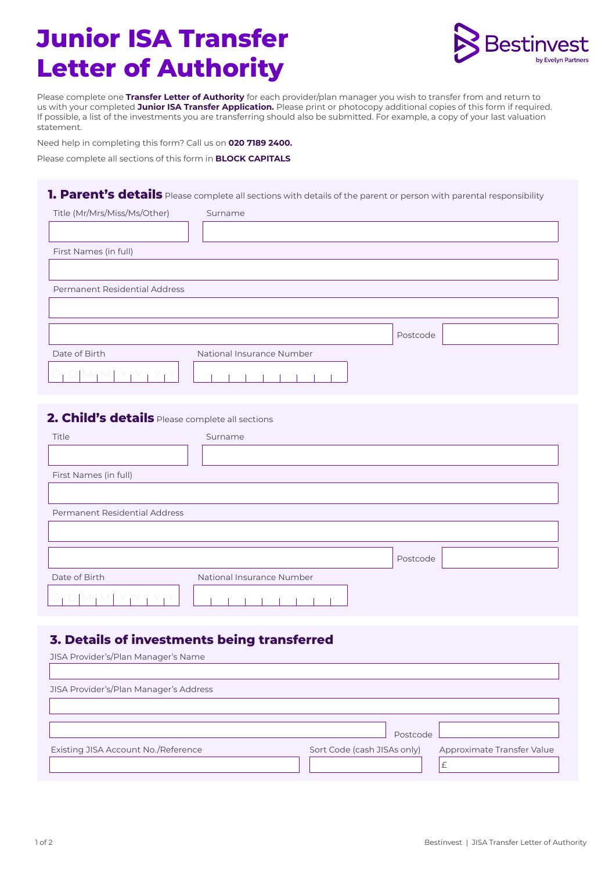# **Junior ISA Transfer Letter of Authority**



Please complete one **Transfer Letter of Authority** for each provider/plan manager you wish to transfer from and return to us with your completed **Junior ISA Transfer Application.** Please print or photocopy additional copies of this form if required. If possible, a list of the investments you are transferring should also be submitted. For example, a copy of your last valuation statement.

Need help in completing this form? Call us on **020 7189 2400.** 

Please complete all sections of this form in **BLOCK CAPITALS** 

#### **1. Parent's details** Please complete all sections with details of the parent or person with parental responsibility

| Title (Mr/Mrs/Miss/Ms/Other)  | Surname                   |
|-------------------------------|---------------------------|
|                               |                           |
| First Names (in full)         |                           |
|                               |                           |
| Permanent Residential Address |                           |
|                               |                           |
|                               | Postcode                  |
| Date of Birth                 | National Insurance Number |
|                               |                           |

#### **2. Child's details** Please complete all sections

| Title                         | Surname                   |          |
|-------------------------------|---------------------------|----------|
|                               |                           |          |
| First Names (in full)         |                           |          |
|                               |                           |          |
| Permanent Residential Address |                           |          |
|                               |                           |          |
|                               |                           |          |
|                               |                           | Postcode |
| Date of Birth                 | National Insurance Number |          |
|                               |                           |          |

#### **3. Details of investments being transferred**

| JISA Provider's/Plan Manager's Name    |                                                           |  |
|----------------------------------------|-----------------------------------------------------------|--|
|                                        |                                                           |  |
| JISA Provider's/Plan Manager's Address |                                                           |  |
|                                        |                                                           |  |
|                                        |                                                           |  |
|                                        | Postcode                                                  |  |
| Existing JISA Account No. / Reference  | Sort Code (cash JISAs only)<br>Approximate Transfer Value |  |
|                                        | £                                                         |  |